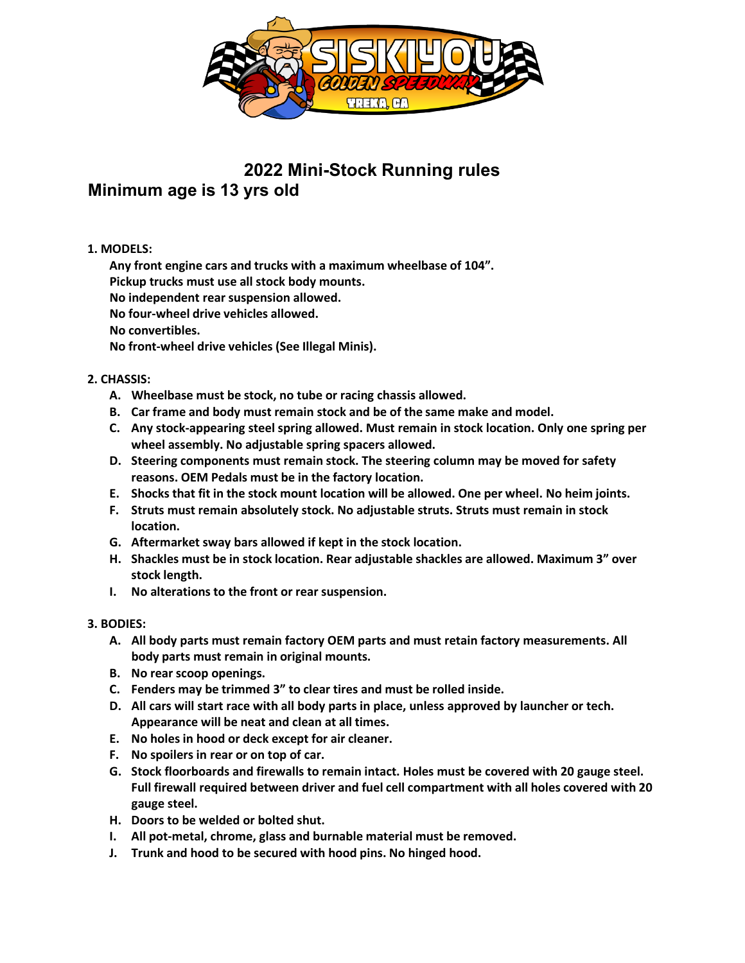

**2022 Mini-Stock Running rules**

# **Minimum age is 13 yrs old**

## **1. MODELS:**

**Any front engine cars and trucks with a maximum wheelbase of 104".**

**Pickup trucks must use all stock body mounts.**

**No independent rear suspension allowed.**

**No four-wheel drive vehicles allowed.**

**No convertibles.**

**No front-wheel drive vehicles (See Illegal Minis).**

## **2. CHASSIS:**

- **A. Wheelbase must be stock, no tube or racing chassis allowed.**
- **B. Car frame and body must remain stock and be of the same make and model.**
- **C. Any stock-appearing steel spring allowed. Must remain in stock location. Only one spring per wheel assembly. No adjustable spring spacers allowed.**
- **D. Steering components must remain stock. The steering column may be moved for safety reasons. OEM Pedals must be in the factory location.**
- **E. Shocks that fit in the stock mount location will be allowed. One per wheel. No heim joints.**
- **F. Struts must remain absolutely stock. No adjustable struts. Struts must remain in stock location.**
- **G. Aftermarket sway bars allowed if kept in the stock location.**
- **H. Shackles must be in stock location. Rear adjustable shackles are allowed. Maximum 3" over stock length.**
- **I. No alterations to the front or rear suspension.**

## **3. BODIES:**

- **A. All body parts must remain factory OEM parts and must retain factory measurements. All body parts must remain in original mounts.**
- **B. No rear scoop openings.**
- **C. Fenders may be trimmed 3" to clear tires and must be rolled inside.**
- **D. All cars will start race with all body parts in place, unless approved by launcher or tech. Appearance will be neat and clean at all times.**
- **E. No holes in hood or deck except for air cleaner.**
- **F. No spoilers in rear or on top of car.**
- **G. Stock floorboards and firewalls to remain intact. Holes must be covered with 20 gauge steel. Full firewall required between driver and fuel cell compartment with all holes covered with 20 gauge steel.**
- **H. Doors to be welded or bolted shut.**
- **I. All pot-metal, chrome, glass and burnable material must be removed.**
- **J. Trunk and hood to be secured with hood pins. No hinged hood.**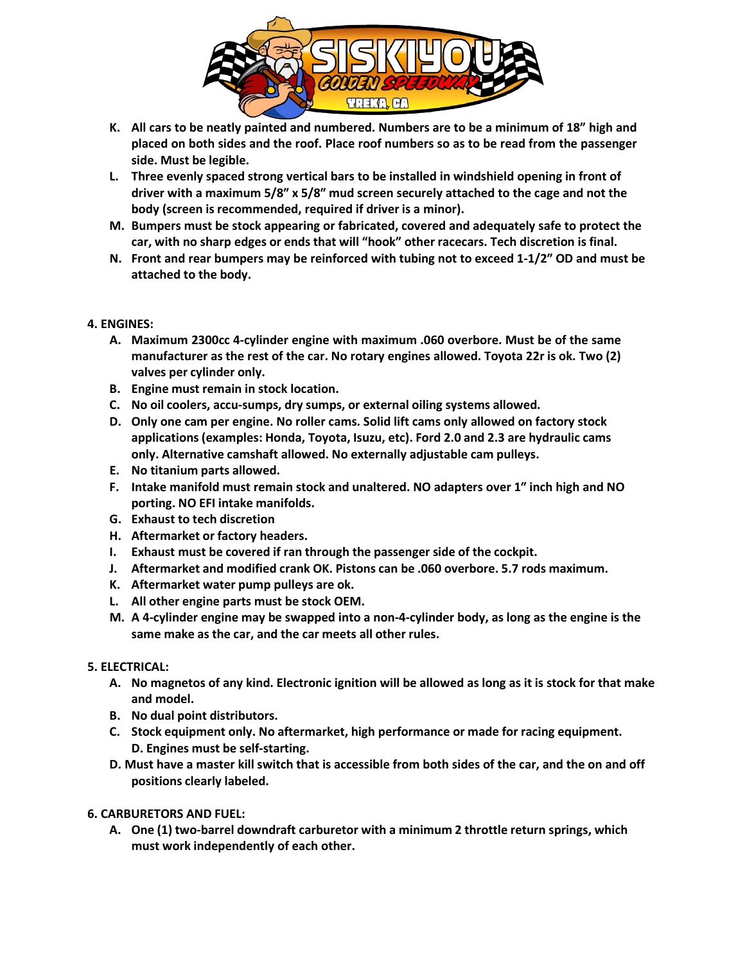

- **K. All cars to be neatly painted and numbered. Numbers are to be a minimum of 18" high and placed on both sides and the roof. Place roof numbers so as to be read from the passenger side. Must be legible.**
- **L. Three evenly spaced strong vertical bars to be installed in windshield opening in front of driver with a maximum 5/8″ x 5/8″ mud screen securely attached to the cage and not the body (screen isrecommended, required if driver is a minor).**
- **M. Bumpers must be stock appearing or fabricated, covered and adequately safe to protect the car, with no sharp edges or ends that will "hook" other racecars. Tech discretion is final.**
- **N. Front and rear bumpers may be reinforced with tubing not to exceed 1-1/2″ OD and must be attached to the body.**

#### **4. ENGINES:**

- **A. Maximum 2300cc 4-cylinder engine with maximum .060 overbore. Must be of the same manufacturer as the rest of the car. No rotary engines allowed. Toyota 22r is ok. Two (2) valves per cylinder only.**
- **B. Engine must remain in stock location.**
- **C. No oil coolers, accu-sumps, dry sumps, or external oiling systems allowed.**
- **D. Only one cam per engine. No roller cams. Solid lift cams only allowed on factory stock applications(examples: Honda, Toyota, Isuzu, etc). Ford 2.0 and 2.3 are hydraulic cams only. Alternative camshaft allowed. No externally adjustable cam pulleys.**
- **E. No titanium parts allowed.**
- **F. Intake manifold must remain stock and unaltered. NO adapters over 1″ inch high and NO porting. NO EFI intake manifolds.**
- **G. Exhaust to tech discretion**
- **H. Aftermarket or factory headers.**
- **I. Exhaust must be covered if ran through the passenger side of the cockpit.**
- **J. Aftermarket and modified crank OK. Pistons can be .060 overbore. 5.7 rods maximum.**
- **K. Aftermarket water pump pulleys are ok.**
- **L. All other engine parts must be stock OEM.**
- **M. A 4-cylinder engine may be swapped into a non-4-cylinder body, as long as the engine is the same make as the car, and the car meets all other rules.**

#### **5. ELECTRICAL:**

- **A. No magnetos of any kind. Electronic ignition will be allowed as long as it is stock for that make and model.**
- **B. No dual point distributors.**
- **C. Stock equipment only. No aftermarket, high performance or made for racing equipment. D. Engines must be self-starting.**
- **D. Must have a master kill switch that is accessible from both sides of the car, and the on and off positions clearly labeled.**
- **6. CARBURETORS AND FUEL:**
	- **A. One (1) two-barrel downdraft carburetor with a minimum 2 throttle return springs, which must work independently of each other.**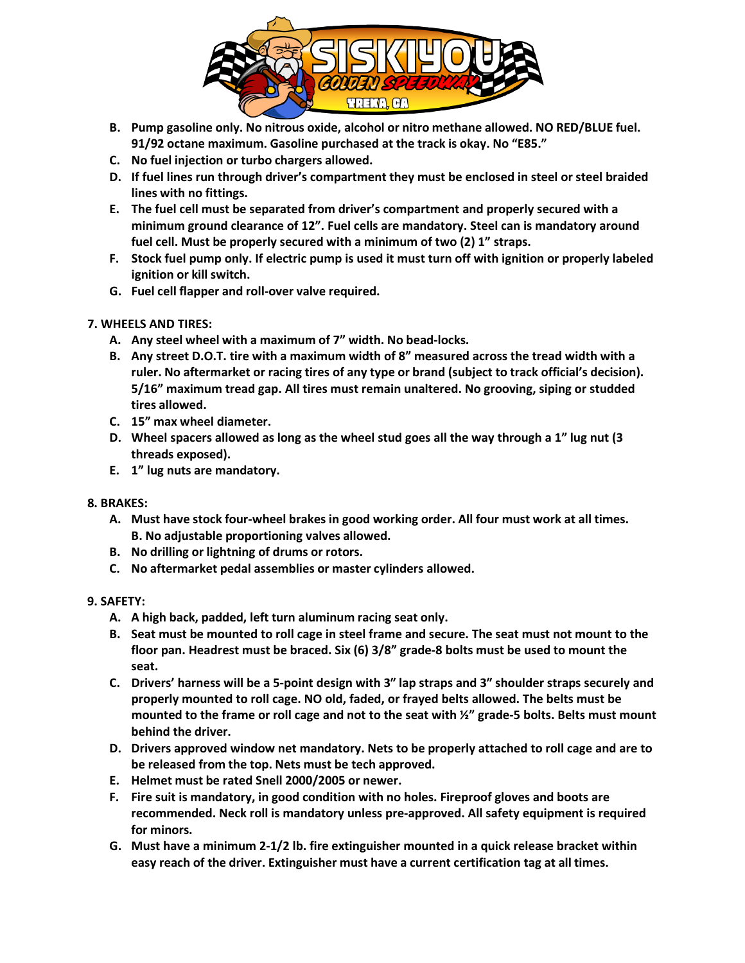

- **B. Pump gasoline only. No nitrous oxide, alcohol or nitro methane allowed. NO RED/BLUE fuel. 91/92 octane maximum. Gasoline purchased at the track is okay. No "E85."**
- **C. No fuel injection or turbo chargers allowed.**
- **D. If fuel lines run through driver's compartment they must be enclosed in steel or steel braided lines with no fittings.**
- **E. The fuel cell must be separated from driver's compartment and properly secured with a minimum ground clearance of 12". Fuel cells are mandatory. Steel can is mandatory around fuel cell. Must be properly secured with a minimum of two (2) 1" straps.**
- **F. Stock fuel pump only. If electric pump is used it must turn off with ignition or properly labeled ignition or kill switch.**
- **G. Fuel cell flapper and roll-over valve required.**
- **7. WHEELS AND TIRES:**
	- **A. Any steel wheel with a maximum of 7" width. No bead-locks.**
	- **B. Any street D.O.T. tire with a maximum width of 8" measured across the tread width with a ruler. No aftermarket or racing tires of any type or brand (subject to track official's decision). 5/16" maximum tread gap. All tires must remain unaltered. No grooving, siping or studded tires allowed.**
	- **C. 15" max wheel diameter.**
	- **D. Wheel spacers allowed as long as the wheel stud goes all the way through a 1" lug nut (3 threads exposed).**
	- **E. 1" lug nuts are mandatory.**
- **8. BRAKES:**
	- **A. Must have stock four-wheel brakes in good working order. All four must work at all times. B. No adjustable proportioning valves allowed.**
	- **B. No drilling or lightning of drums or rotors.**
	- **C. No aftermarket pedal assemblies or master cylinders allowed.**

## **9. SAFETY:**

- **A. A high back, padded, left turn aluminum racing seat only.**
- **B. Seat must be mounted to roll cage in steel frame and secure. The seat must not mount to the floor pan. Headrest must be braced. Six (6) 3/8" grade-8 bolts must be used to mount the seat.**
- **C. Drivers' harness will be a 5-point design with 3″ lap straps and 3″ shoulder straps securely and properly mounted to roll cage. NO old, faded, or frayed belts allowed. The belts must be mounted to the frame or roll cage and not to the seat with ½" grade-5 bolts. Belts must mount behind the driver.**
- **D. Drivers approved window net mandatory. Nets to be properly attached to roll cage and are to be released from the top. Nets must be tech approved.**
- **E. Helmet must be rated Snell 2000/2005 or newer.**
- **F. Fire suit is mandatory, in good condition with no holes. Fireproof gloves and boots are recommended. Neck roll is mandatory unless pre-approved. All safety equipment is required for minors.**
- **G. Must have a minimum 2-1/2 lb. fire extinguisher mounted in a quick release bracket within easy reach of the driver. Extinguisher must have a current certification tag at all times.**